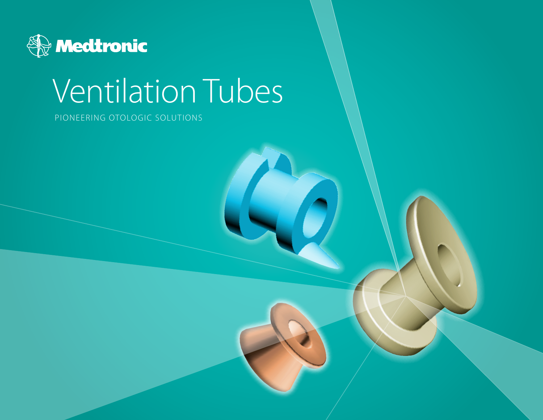

# Ventilation Tubes

Pioneering otologic solutions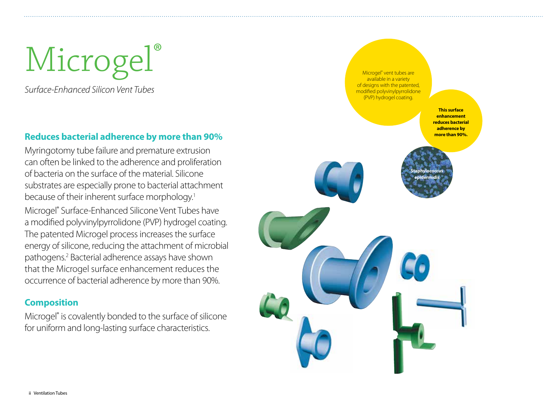Microgel®

*Surface-Enhanced Silicon Vent Tubes*

#### **Reduces bacterial adherence by more than 90%**

Myringotomy tube failure and premature extrusion can often be linked to the adherence and proliferation of bacteria on the surface of the material. Silicone substrates are especially prone to bacterial attachment because of their inherent surface morphology.<sup>1</sup>

Microgel® Surface-Enhanced Silicone Vent Tubes have a modified polyvinylpyrrolidone (PVP) hydrogel coating. The patented Microgel process increases the surface energy of silicone, reducing the attachment of microbial pathogens.2 Bacterial adherence assays have shown that the Microgel surface enhancement reduces the occurrence of bacterial adherence by more than 90%.

#### **Composition**

Microgel® is covalently bonded to the surface of silicone for uniform and long-lasting surface characteristics.

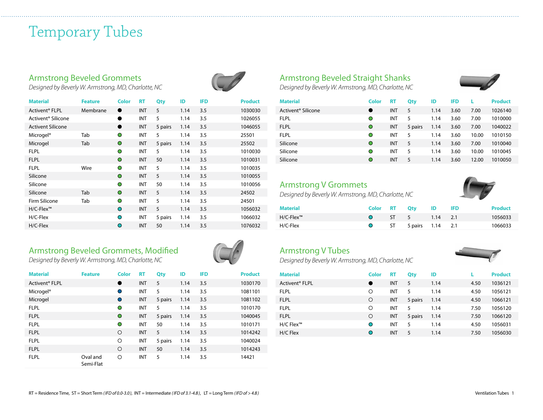## Temporary Tubes

#### Armstrong Beveled Grommets

*Designed by Beverly W. Armstrong, MD, Charlotte, NC*

| <b>Material</b>                | <b>Feature</b> | Color     | <b>RT</b>  | Qty     | ID   | <b>IFD</b> | <b>Product</b> |
|--------------------------------|----------------|-----------|------------|---------|------|------------|----------------|
| Activent <sup>®</sup> FLPL     | Membrane       |           | <b>INT</b> | 5       | 1.14 | 3.5        | 1030030        |
| Activent <sup>®</sup> Silicone |                | ●         | INT        | 5       | 1.14 | 3.5        | 1026055        |
| <b>Activent Silicone</b>       |                | ●         | <b>INT</b> | 5 pairs | 1.14 | 3.5        | 1046055        |
| Microgel <sup>®</sup>          | Tab            | O         | <b>INT</b> | 5       | 1.14 | 3.5        | 25501          |
| Microgel                       | Tab            | O         | <b>INT</b> | 5 pairs | 1.14 | 3.5        | 25502          |
| <b>FLPL</b>                    |                | O         | <b>INT</b> | 5       | 1.14 | 3.5        | 1010030        |
| <b>FLPL</b>                    |                | O         | <b>INT</b> | 50      | 1.14 | 3.5        | 1010031        |
| <b>FLPL</b>                    | Wire           | $\bullet$ | <b>INT</b> | 5       | 1.14 | 3.5        | 1010035        |
| Silicone                       |                | O         | <b>INT</b> | 5       | 1.14 | 3.5        | 1010055        |
| Silicone                       |                | O         | <b>INT</b> | 50      | 1.14 | 3.5        | 1010056        |
| Silicone                       | Tab            | $\bullet$ | <b>INT</b> | 5       | 1.14 | 3.5        | 24502          |
| Firm Silicone                  | Tab            | O         | <b>INT</b> | 5       | 1.14 | 3.5        | 24501          |
| H/C-Flex™                      |                | O         | <b>INT</b> | 5       | 1.14 | 3.5        | 1056032        |
| H/C-Flex                       |                | ∩         | <b>INT</b> | 5 pairs | 1.14 | 3.5        | 1066032        |
| H/C-Flex                       |                | ∩         | <b>INT</b> | 50      | 1.14 | 3.5        | 1076032        |

#### Armstrong Beveled Grommets, Modified *Designed by Beverly W. Armstrong, MD, Charlotte, NC*

| <b>Material</b>            | <b>Feature</b>        | <b>Color</b> | <b>RT</b>  | Qty     | ID   | <b>IFD</b> | <b>Product</b> |
|----------------------------|-----------------------|--------------|------------|---------|------|------------|----------------|
| Activent <sup>®</sup> FLPL |                       | $\bullet$    | <b>INT</b> | 5       | 1.14 | 3.5        | 1030170        |
| Microgel <sup>®</sup>      |                       | O            | INT        | 5       | 1.14 | 3.5        | 1081101        |
| Microgel                   |                       | $\bullet$    | <b>INT</b> | 5 pairs | 1.14 | 3.5        | 1081102        |
| <b>FLPL</b>                |                       | Ο            | <b>INT</b> | 5       | 1.14 | 3.5        | 1010170        |
| <b>FLPL</b>                |                       | $\bigcirc$   | INT        | 5 pairs | 1.14 | 3.5        | 1040045        |
| <b>FLPL</b>                |                       | $\bigcirc$   | INT        | 50      | 1.14 | 3.5        | 1010171        |
| <b>FLPL</b>                |                       | $\circ$      | INT        | 5       | 1.14 | 3.5        | 1014242        |
| <b>FLPL</b>                |                       | ◯            | INT        | 5 pairs | 1.14 | 3.5        | 1040024        |
| <b>FLPL</b>                |                       | $\circ$      | INT        | 50      | 1.14 | 3.5        | 1014243        |
| <b>FLPL</b>                | Oval and<br>Semi-Flat | Ω            | INT        | 5       | 1.14 | 3.5        | 14421          |



#### Armstrong Beveled Straight Shanks

*Designed by Beverly W. Armstrong, MD, Charlotte, NC*

| <b>Material</b>                | Color      | <b>RT</b>  | Qty     | ID   | <b>IFD</b> |       | <b>Product</b> |
|--------------------------------|------------|------------|---------|------|------------|-------|----------------|
| Activent <sup>®</sup> Silicone |            | INT        | 5       | 1.14 | 3.60       | 7.00  | 1026140        |
| <b>FLPL</b>                    | $\circ$    | INT        | 5       | 1.14 | 3.60       | 7.00  | 1010000        |
| <b>FLPL</b>                    | $\circ$    | <b>INT</b> | 5 pairs | 1.14 | 3.60       | 7.00  | 1040022        |
| <b>FLPL</b>                    | $\circ$    | INT        | 5       | 1.14 | 3.60       | 10.00 | 1010150        |
| Silicone                       | $\bigcirc$ | INT        | 5       | 1.14 | 3.60       | 7.00  | 1010040        |
| Silicone                       | $\circ$    | INT        | 5       | 1.14 | 3.60       | 10.00 | 1010045        |
| Silicone                       | $\bigcirc$ | INT        | 5       | 1.14 | 3.60       | 12.00 | 1010050        |

#### Armstrong V Grommets

*Designed by Beverly W. Armstrong, MD, Charlotte, NC*



| <b>Material</b>                       |  | Color RT Qty ID IFD     |  | <b>Product</b> |
|---------------------------------------|--|-------------------------|--|----------------|
| $H/C$ -Flex <sup><math>m</math></sup> |  | O ST 5 1.14 2.1         |  | 1056033        |
| H/C-Flex                              |  | O ST 5 pairs $1.14$ 2.1 |  | 1066033        |

#### Armstrong V Tubes

*Designed by Beverly W. Armstrong, MD, Charlotte, NC*



| <b>Material</b>            | Color      | RT         | Qty     | ID   |      | <b>Product</b> |
|----------------------------|------------|------------|---------|------|------|----------------|
| Activent <sup>®</sup> FLPL | O          | INT        | 5       | 1.14 | 4.50 | 1036121        |
| <b>FLPL</b>                | Ο          | <b>INT</b> | 5       | 1.14 | 4.50 | 1056121        |
| <b>FLPL</b>                | O          | <b>INT</b> | 5 pairs | 1.14 | 4.50 | 1066121        |
| <b>FLPL</b>                | Ο          | <b>INT</b> | 5       | 1.14 | 7.50 | 1056120        |
| <b>FLPL</b>                | O          | INT        | 5 pairs | 1.14 | 7.50 | 1066120        |
| $H/C$ Flex™                | $\bigcirc$ | <b>INT</b> | 5       | 1.14 | 4.50 | 1056031        |
| H/C Flex                   | O          | INT        | 5       | 1.14 | 7.50 | 1056030        |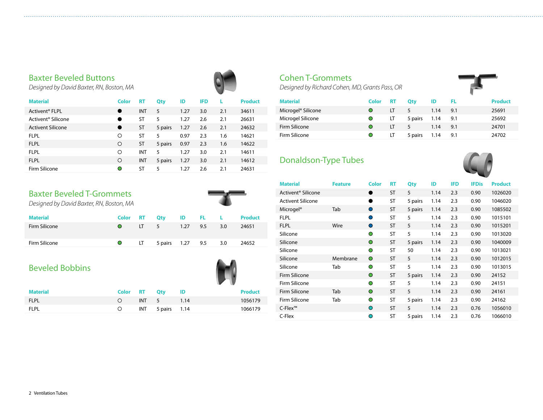#### Baxter Beveled Buttons

*Designed by David Baxter, RN, Boston, MA*

| <b>Material</b>                | Color      | <b>RT</b> | Qty     | ID   | <b>IFD</b> | L   | <b>Product</b> |
|--------------------------------|------------|-----------|---------|------|------------|-----|----------------|
| Activent <sup>®</sup> FLPL     |            | INT       | 5       | 1.27 | 3.0        | 2.1 | 34611          |
| Activent <sup>®</sup> Silicone |            | ST        | 5       | 1.27 | 2.6        | 2.1 | 26631          |
| <b>Activent Silicone</b>       |            | <b>ST</b> | 5 pairs | 1.27 | 2.6        | 2.1 | 24632          |
| <b>FLPL</b>                    | O          | ST        | 5       | 0.97 | 2.3        | 1.6 | 14621          |
| <b>FLPL</b>                    | $\circ$    | <b>ST</b> | 5 pairs | 0.97 | 2.3        | 1.6 | 14622          |
| <b>FLPL</b>                    | O          | INT       | 5       | 1.27 | 3.0        | 2.1 | 14611          |
| <b>FLPL</b>                    | $\bigcirc$ | INT       | 5 pairs | 1.27 | 3.0        | 2.1 | 14612          |
| Firm Silicone                  | O          | ST        | 5       | 1.27 | 2.6        | 2.1 | 24631          |

#### Baxter Beveled T-Grommets

*Designed by David Baxter, RN, Boston, MA*

| <b>Material</b> |                     |                         |  | Color RT Oty ID FL L Product |
|-----------------|---------------------|-------------------------|--|------------------------------|
| Firm Silicone   | $\bullet$           | LT 5 1.27 9.5 3.0       |  | 24651                        |
| Firm Silicone   | $\bullet$ $\bullet$ | LT 5 pairs 1.27 9.5 3.0 |  | 24652                        |

#### Beveled Bobbins

|             |              |                      |      | $\mathbf{v}$ |                |
|-------------|--------------|----------------------|------|--------------|----------------|
| Material    | Color RT Qty |                      | - ID |              | <b>Product</b> |
| <b>FLPL</b> |              | INT 5                | 1.14 |              | 1056179        |
| FLPL        |              | $INT$ 5 pairs $1.14$ |      |              | 1066179        |

#### Cohen T-Grommets

*Designed by Richard Cohen, MD, Grants Pass, OR*

| <b>Material</b>                | Color      | <b>RT</b> | Otv     | ID   | - FL | <b>Product</b> |
|--------------------------------|------------|-----------|---------|------|------|----------------|
| Microgel <sup>®</sup> Silicone | $\bigcirc$ | LT        | -5      | 1.14 | 9.1  | 25691          |
| Microgel Silicone              | $\bullet$  | LT        | 5 pairs | 1.14 | 9.1  | 25692          |
| Firm Silicone                  | $\bigcirc$ | LT        | 5       | 1.14 | 9.1  | 24701          |
| Firm Silicone                  |            | LT        | 5 pairs | 1.14 | 9.1  | 24702          |

#### Donaldson-Type Tubes



| <b>Material</b>                | <b>Feature</b> | Color      | <b>RT</b> | Qty     | ID   | <b>IFD</b> | <b>IFDis</b> | <b>Product</b> |
|--------------------------------|----------------|------------|-----------|---------|------|------------|--------------|----------------|
| Activent <sup>®</sup> Silicone |                |            | <b>ST</b> | 5       | 1.14 | 2.3        | 0.90         | 1026020        |
| <b>Activent Silicone</b>       |                | ●          | <b>ST</b> | 5 pairs | 1.14 | 2.3        | 0.90         | 1046020        |
| Microgel <sup>®</sup>          | Tab            | O          | <b>ST</b> | 5 pairs | 1.14 | 2.3        | 0.90         | 1085502        |
| <b>FLPL</b>                    |                | ∩          | <b>ST</b> | 5       | 1.14 | 2.3        | 0.90         | 1015101        |
| <b>FLPL</b>                    | Wire           | $\bullet$  | <b>ST</b> | 5       | 1.14 | 2.3        | 0.90         | 1015201        |
| Silicone                       |                | O          | <b>ST</b> | 5       | 1.14 | 2.3        | 0.90         | 1013020        |
| Silicone                       |                | $\bigcirc$ | <b>ST</b> | 5 pairs | 1.14 | 2.3        | 0.90         | 1040009        |
| Silicone                       |                | $\bigcirc$ | <b>ST</b> | 50      | 1.14 | 2.3        | 0.90         | 1013021        |
| Silicone                       | Membrane       | $\circ$    | <b>ST</b> | 5       | 1.14 | 2.3        | 0.90         | 1012015        |
| Silicone                       | Tab            | O          | <b>ST</b> | 5       | 1.14 | 2.3        | 0.90         | 1013015        |
| Firm Silicone                  |                | $\circ$    | <b>ST</b> | 5 pairs | 1.14 | 2.3        | 0.90         | 24152          |
| Firm Silicone                  |                | O          | <b>ST</b> | 5       | 1.14 | 2.3        | 0.90         | 24151          |
| Firm Silicone                  | Tab            | $\circ$    | <b>ST</b> | 5       | 1.14 | 2.3        | 0.90         | 24161          |
| Firm Silicone                  | Tab            | $\bigcirc$ | <b>ST</b> | 5 pairs | 1.14 | 2.3        | 0.90         | 24162          |
| $C$ -Flex™                     |                | $\circ$    | <b>ST</b> | 5       | 1.14 | 2.3        | 0.76         | 1056010        |
| C-Flex                         |                | $\bigcirc$ | <b>ST</b> | 5 pairs | 1.14 | 2.3        | 0.76         | 1066010        |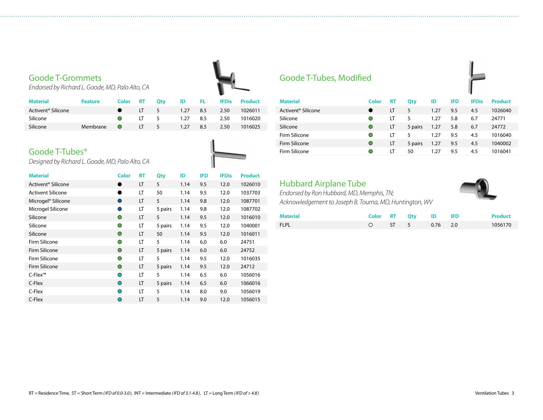#### Goode T-Grommets

*Endorsed by Richard L. Goode, MD, Palo Alto, CA* 

| <b>Material</b>                | <b>Feature</b> | Color           | <b>RT</b>    | Otv | ID       | <b>FL</b> | <b>IFDis</b> | Product |
|--------------------------------|----------------|-----------------|--------------|-----|----------|-----------|--------------|---------|
| Activent <sup>®</sup> Silicone |                |                 | $LT \quad 5$ |     | 1.27 8.5 |           | 2.50         | 1026011 |
| Silicone                       |                | $\bullet$       | $1T \quad 5$ |     | 1.27 8.5 |           | 2.50         | 1016020 |
| Silicone                       | Membrane       | $\sim$ 0 $\sim$ | $LT \quad 5$ |     | 1.27     | 8.5       | 2.50         | 1016025 |
|                                |                |                 |              |     |          |           |              |         |

#### Goode T-Tubes®



| <b>Material</b>                | Color      | <b>RT</b> | Qty     | ID   | <b>IFD</b> | <b>IFDis</b> | <b>Product</b> |
|--------------------------------|------------|-----------|---------|------|------------|--------------|----------------|
| Activent <sup>®</sup> Silicone | 0          | LT        | 5       | 1.14 | 9.5        | 12.0         | 1026010        |
| <b>Activent Silicone</b>       | Δ          | LT        | 50      | 1.14 | 9.5        | 12.0         | 1037703        |
| Microgel <sup>®</sup> Silicone | $\bigcirc$ | LT        | 5       | 1.14 | 9.8        | 12.0         | 1087701        |
| Microgel Silicone              | O          | LT        | 5 pairs | 1.14 | 9.8        | 12.0         | 1087702        |
| Silicone                       | $\bigcirc$ | LT        | 5       | 1.14 | 9.5        | 12.0         | 1016010        |
| Silicone                       | $\bigcirc$ | LT        | 5 pairs | 1.14 | 9.5        | 12.0         | 1040001        |
| Silicone                       | $\circ$    | LT        | 50      | 1.14 | 9.5        | 12.0         | 1016011        |
| Firm Silicone                  | $\bigcirc$ | LT        | 5       | 1.14 | 6.0        | 6.0          | 24751          |
| Firm Silicone                  | $\bigcirc$ | LT        | 5 pairs | 1.14 | 6.0        | 6.0          | 24752          |
| Firm Silicone                  | ∩          | LT        | 5       | 1.14 | 9.5        | 12.0         | 1016035        |
| <b>Firm Silicone</b>           | $\circ$    | LT        | 5 pairs | 1.14 | 9.5        | 12.0         | 24712          |
| $C$ -Flex™                     | ∩          | LT        | 5       | 1.14 | 6.5        | 6.0          | 1056016        |
| C-Flex                         | ◯          | LT        | 5 pairs | 1.14 | 6.5        | 6.0          | 1066016        |
| C-Flex                         | ◠          | LT        | 5       | 1.14 | 8.0        | 9.0          | 1056019        |
| C-Flex                         | $\bigcirc$ | LT        | 5       | 1.14 | 9.0        | 12.0         | 1056015        |
|                                |            |           |         |      |            |              |                |

#### Goode T-Tubes, Modified

| ÷ |  |
|---|--|
|   |  |
|   |  |

| <b>Material</b>                | Color | RT | Qty     | ID   | <b>IFD</b> | <b>IFDis</b> | <b>Product</b> |
|--------------------------------|-------|----|---------|------|------------|--------------|----------------|
| Activent <sup>®</sup> Silicone |       | LT | 5       | 1.27 | 9.5        | 4.5          | 1026040        |
| Silicone                       | O     | IΤ | 5       | 1.27 | 5.8        | 6.7          | 24771          |
| Silicone                       | O     | LT | 5 pairs | 1.27 | 5.8        | 6.7          | 24772          |
| Firm Silicone                  | O     | ١T | 5       | 1.27 | 9.5        | 4.5          | 1016040        |
| Firm Silicone                  | O     | LT | 5 pairs | 1.27 | 9.5        | 4.5          | 1040002        |
| Firm Silicone                  | O     | LT | 50      | 1.27 | 9.5        | 4.5          | 1016041        |

#### Hubbard Airplane Tube

*Endorsed by Ron Hubbard, MD, Memphis, TN; Acknowledgement to Joseph B. Touma, MD, Huntington, WV*

| Material    |  | Color RT Qty ID IFD   |  | <b>Product</b> |
|-------------|--|-----------------------|--|----------------|
| <b>FLPL</b> |  | $\circ$ ST 5 0.76 2.0 |  | 1056170        |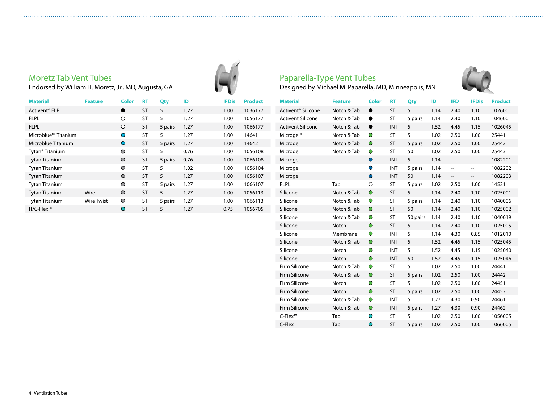#### Moretz Tab Vent Tubes

Endorsed by William H. Moretz, Jr., MD, Augusta, GA

| <b>Material</b>             | <b>Feature</b>    | Color      | <b>RT</b> | Qty     | ID   | <b>IFDis</b> | <b>Product</b> |
|-----------------------------|-------------------|------------|-----------|---------|------|--------------|----------------|
| Activent <sup>®</sup> FLPL  |                   |            | <b>ST</b> | 5       | 1.27 | 1.00         | 1036177        |
| <b>FLPL</b>                 |                   | O          | <b>ST</b> | 5       | 1.27 | 1.00         | 1056177        |
| <b>FLPL</b>                 |                   | ◯          | ST        | 5 pairs | 1.27 | 1.00         | 1066177        |
| Microblue™ Titanium         |                   | ∩          | <b>ST</b> | 5       | 1.27 | 1.00         | 14641          |
| Microblue Titanium          |                   | $\bigcirc$ | <b>ST</b> | 5 pairs | 1.27 | 1.00         | 14642          |
| Tytan <sup>®</sup> Titanium |                   | $\circ$    | ST        | 5       | 0.76 | 1.00         | 1056108        |
| <b>Tytan Titanium</b>       |                   | $\bigcirc$ | <b>ST</b> | 5 pairs | 0.76 | 1.00         | 1066108        |
| <b>Tytan Titanium</b>       |                   | $\circ$    | <b>ST</b> | 5       | 1.02 | 1.00         | 1056104        |
| <b>Tytan Titanium</b>       |                   | $\bigcirc$ | <b>ST</b> | 5       | 1.27 | 1.00         | 1056107        |
| <b>Tytan Titanium</b>       |                   | O          | <b>ST</b> | 5 pairs | 1.27 | 1.00         | 1066107        |
| <b>Tytan Titanium</b>       | Wire              | $\bigcirc$ | <b>ST</b> | 5       | 1.27 | 1.00         | 1056113        |
| <b>Tytan Titanium</b>       | <b>Wire Twist</b> | $\bigcirc$ | <b>ST</b> | 5 pairs | 1.27 | 1.00         | 1066113        |
| H/C-Flex™                   |                   | $\circ$    | ST        | 5       | 1.27 | 0.75         | 1056705        |





| <b>Material</b>                | <b>Feature</b> | <b>Color</b> | <b>RT</b>  | Qty      | ID   | <b>IFD</b>        | <b>IFDis</b>             | <b>Product</b> |
|--------------------------------|----------------|--------------|------------|----------|------|-------------------|--------------------------|----------------|
| Activent <sup>®</sup> Silicone | Notch & Tab    | $\bullet$    | <b>ST</b>  | 5        | 1.14 | 2.40              | 1.10                     | 1026001        |
| <b>Activent Silicone</b>       | Notch & Tab    |              | <b>ST</b>  | 5 pairs  | 1.14 | 2.40              | 1.10                     | 1046001        |
| <b>Activent Silicone</b>       | Notch & Tab    | $\bullet$    | <b>INT</b> | 5        | 1.52 | 4.45              | 1.15                     | 1026045        |
| Microgel <sup>®</sup>          | Notch & Tab    | $\bullet$    | <b>ST</b>  | 5        | 1.02 | 2.50              | 1.00                     | 25441          |
| Microgel                       | Notch & Tab    | $\circ$      | <b>ST</b>  | 5 pairs  | 1.02 | 2.50              | 1.00                     | 25442          |
| Microgel                       | Notch & Tab    | $\bullet$    | ST         | 50       | 1.02 | 2.50              | 1.00                     | 25443          |
| Microgel                       |                | $\bullet$    | <b>INT</b> | 5        | 1.14 | $\qquad \qquad -$ | $\qquad \qquad -$        | 1082201        |
| Microgel                       |                | $\bullet$    | INT        | 5 pairs  | 1.14 | --                | $\overline{\phantom{a}}$ | 1082202        |
| Microgel                       |                | $\bullet$    | <b>INT</b> | 50       | 1.14 | --                | $\overline{\phantom{a}}$ | 1082203        |
| <b>FLPL</b>                    | Tab            | $\circ$      | ST         | 5 pairs  | 1.02 | 2.50              | 1.00                     | 14521          |
| Silicone                       | Notch & Tab    | $\circ$      | <b>ST</b>  | 5        | 1.14 | 2.40              | 1.10                     | 1025001        |
| Silicone                       | Notch & Tab    | $\bullet$    | ST         | 5 pairs  | 1.14 | 2.40              | 1.10                     | 1040006        |
| Silicone                       | Notch & Tab    | $\circ$      | <b>ST</b>  | 50       | 1.14 | 2.40              | 1.10                     | 1025002        |
| Silicone                       | Notch & Tab    | $\bullet$    | <b>ST</b>  | 50 pairs | 1.14 | 2.40              | 1.10                     | 1040019        |
| Silicone                       | Notch          | $\bullet$    | <b>ST</b>  | 5        | 1.14 | 2.40              | 1.10                     | 1025005        |
| Silicone                       | Membrane       | $\bullet$    | <b>INT</b> | 5        | 1.14 | 4.30              | 0.85                     | 1012010        |
| Silicone                       | Notch & Tab    | $\circ$      | <b>INT</b> | 5        | 1.52 | 4.45              | 1.15                     | 1025045        |
| Silicone                       | Notch          | $\bullet$    | <b>INT</b> | 5        | 1.52 | 4.45              | 1.15                     | 1025040        |
| Silicone                       | Notch          | $\circ$      | <b>INT</b> | 50       | 1.52 | 4.45              | 1.15                     | 1025046        |
| Firm Silicone                  | Notch & Tab    | $\circ$      | <b>ST</b>  | 5        | 1.02 | 2.50              | 1.00                     | 24441          |
| Firm Silicone                  | Notch & Tab    | $\circ$      | <b>ST</b>  | 5 pairs  | 1.02 | 2.50              | 1.00                     | 24442          |
| Firm Silicone                  | Notch          | $\bullet$    | ST         | 5        | 1.02 | 2.50              | 1.00                     | 24451          |
| Firm Silicone                  | Notch          | $\circ$      | <b>ST</b>  | 5 pairs  | 1.02 | 2.50              | 1.00                     | 24452          |
| Firm Silicone                  | Notch & Tab    | $\bullet$    | <b>INT</b> | 5        | 1.27 | 4.30              | 0.90                     | 24461          |
| Firm Silicone                  | Notch & Tab    | $\circ$      | <b>INT</b> | 5 pairs  | 1.27 | 4.30              | 0.90                     | 24462          |
| C-Flex <sup>™</sup>            | Tab            | $\circ$      | <b>ST</b>  | 5        | 1.02 | 2.50              | 1.00                     | 1056005        |
| C-Flex                         | Tab            | $\circ$      | <b>ST</b>  | 5 pairs  | 1.02 | 2.50              | 1.00                     | 1066005        |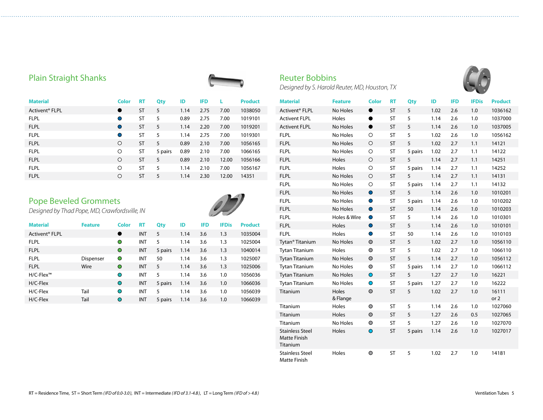#### Plain Straight Shanks



| <b>Material</b>            | <b>Color</b> | RT        | Qty     | ID   | <b>IFD</b> |       | <b>Product</b> |
|----------------------------|--------------|-----------|---------|------|------------|-------|----------------|
| Activent <sup>®</sup> FLPL | $\bullet$    | <b>ST</b> | 5       | 1.14 | 2.75       | 7.00  | 1038050        |
| <b>FLPL</b>                | O            | ST        | 5       | 0.89 | 2.75       | 7.00  | 1019101        |
| <b>FLPL</b>                | $\bullet$    | <b>ST</b> | 5       | 1.14 | 2.20       | 7.00  | 1019201        |
| <b>FLPL</b>                | O            | ST        | 5       | 1.14 | 2.75       | 7.00  | 1019301        |
| <b>FLPL</b>                | $\circ$      | <b>ST</b> | 5       | 0.89 | 2.10       | 7.00  | 1056165        |
| <b>FLPL</b>                | O            | <b>ST</b> | 5 pairs | 0.89 | 2.10       | 7.00  | 1066165        |
| <b>FLPL</b>                | $\circ$      | <b>ST</b> | 5       | 0.89 | 2.10       | 12.00 | 1056166        |
| <b>FLPL</b>                | O            | <b>ST</b> | 5       | 1.14 | 2.10       | 7.00  | 1056167        |
| <b>FLPL</b>                | O            | <b>ST</b> | 5       | 1.14 | 2.30       | 12.00 | 14351          |

#### Pope Beveled Grommets

*Designed by Thad Pope, MD, Crawfordsville, IN* 



| <b>Material</b>            | <b>Feature</b> | <b>Color</b> | RT         | Qty     | ID   | <b>IFD</b> | <b>IFDis</b> | <b>Product</b> |
|----------------------------|----------------|--------------|------------|---------|------|------------|--------------|----------------|
| Activent <sup>®</sup> FLPL |                | $\bullet$    | INT        | 5       | 1.14 | 3.6        | 1.3          | 1035004        |
| <b>FLPL</b>                |                | $\bullet$    | INT        | 5       | 1.14 | 3.6        | 1.3          | 1025004        |
| <b>FLPL</b>                |                | $\bullet$    | <b>INT</b> | 5 pairs | 1.14 | 3.6        | 1.3          | 1040014        |
| <b>FLPL</b>                | Dispenser      | $\circ$      | INT        | 50      | 1.14 | 3.6        | 1.3          | 1025007        |
| <b>FLPL</b>                | Wire           | $\bigcirc$   | INT        | 5       | 1.14 | 3.6        | 1.3          | 1025006        |
| H/C-Flex™                  |                | $\bigcirc$   | INT        | 5       | 1.14 | 3.6        | 1.0          | 1056036        |
| H/C-Flex                   |                | $\circ$      | <b>INT</b> | 5 pairs | 1.14 | 3.6        | 1.0          | 1066036        |
| H/C-Flex                   | Tail           | $\bigcirc$   | INT        | 5       | 1.14 | 3.6        | 1.0          | 1056039        |
| $H/C$ -Flex                | Tail           | $\circ$      | INT        | 5 pairs | 1.14 | 3.6        | 1.0          | 1066039        |

#### Reuter Bobbins

*Designed by S. Harold Reuter, MD, Houston, TX*



| <b>Material</b>                                           | <b>Feature</b>    | Color     | <b>RT</b> | <b>Qty</b> | ID   | <b>IFD</b> | <b>IFDis</b> | <b>Product</b> |
|-----------------------------------------------------------|-------------------|-----------|-----------|------------|------|------------|--------------|----------------|
| Activent <sup>®</sup> FLPL                                | No Holes          | $\bullet$ | <b>ST</b> | 5          | 1.02 | 2.6        | 1.0          | 1036162        |
| <b>Activent FLPL</b>                                      | Holes             | $\bullet$ | <b>ST</b> | 5          | 1.14 | 2.6        | 1.0          | 1037000        |
| <b>Activent FLPL</b>                                      | No Holes          | $\bullet$ | <b>ST</b> | 5          | 1.14 | 2.6        | 1.0          | 1037005        |
| <b>FLPL</b>                                               | No Holes          | $\circ$   | <b>ST</b> | 5          | 1.02 | 2.6        | 1.0          | 1056162        |
| <b>FLPL</b>                                               | No Holes          | $\circ$   | <b>ST</b> | 5          | 1.02 | 2.7        | 1.1          | 14121          |
| <b>FLPL</b>                                               | No Holes          | $\circ$   | <b>ST</b> | 5 pairs    | 1.02 | 2.7        | 1.1          | 14122          |
| <b>FLPL</b>                                               | Holes             | $\circ$   | <b>ST</b> | 5          | 1.14 | 2.7        | 1.1          | 14251          |
| <b>FLPL</b>                                               | Holes             | $\circ$   | <b>ST</b> | 5 pairs    | 1.14 | 2.7        | 1.1          | 14252          |
| <b>FLPL</b>                                               | No Holes          | $\circ$   | <b>ST</b> | 5          | 1.14 | 2.7        | 1.1          | 14131          |
| <b>FLPL</b>                                               | No Holes          | $\circ$   | <b>ST</b> | 5 pairs    | 1.14 | 2.7        | 1.1          | 14132          |
| <b>FLPL</b>                                               | No Holes          | $\bullet$ | <b>ST</b> | 5          | 1.14 | 2.6        | 1.0          | 1010201        |
| <b>FLPL</b>                                               | No Holes          | $\bullet$ | <b>ST</b> | 5 pairs    | 1.14 | 2.6        | 1.0          | 1010202        |
| <b>FLPL</b>                                               | No Holes          | $\bullet$ | <b>ST</b> | 50         | 1.14 | 2.6        | 1.0          | 1010203        |
| <b>FLPL</b>                                               | Holes & Wire      | $\bullet$ | <b>ST</b> | 5          | 1.14 | 2.6        | 1.0          | 1010301        |
| <b>FLPL</b>                                               | Holes             | $\bullet$ | <b>ST</b> | 5          | 1.14 | 2.6        | 1.0          | 1010101        |
| <b>FLPL</b>                                               | Holes             | $\bullet$ | <b>ST</b> | 50         | 1.14 | 2.6        | 1.0          | 1010103        |
| Tytan <sup>®</sup> Titanium                               | No Holes          | $\circ$   | <b>ST</b> | 5          | 1.02 | 2.7        | 1.0          | 1056110        |
| <b>Tytan Titanium</b>                                     | Holes             | $\circ$   | <b>ST</b> | 5          | 1.02 | 2.7        | 1.0          | 1066110        |
| <b>Tytan Titanium</b>                                     | No Holes          | $\circ$   | <b>ST</b> | 5          | 1.14 | 2.7        | 1.0          | 1056112        |
| <b>Tytan Titanium</b>                                     | No Holes          | $\circ$   | <b>ST</b> | 5 pairs    | 1.14 | 2.7        | 1.0          | 1066112        |
| <b>Tytan Titanium</b>                                     | No Holes          | $\bullet$ | <b>ST</b> | 5          | 1.27 | 2.7        | 1.0          | 16221          |
| <b>Tytan Titanium</b>                                     | No Holes          | $\bullet$ | <b>ST</b> | 5 pairs    | 1.27 | 2.7        | 1.0          | 16222          |
| Titanium                                                  | Holes<br>& Flange | $\circ$   | <b>ST</b> | 5          | 1.02 | 2.7        | 1.0          | 16111<br>or 2  |
| Titanium                                                  | Holes             | $\circ$   | ST        | 5          | 1.14 | 2.6        | 1.0          | 1027060        |
| Titanium                                                  | Holes             | $\circ$   | <b>ST</b> | 5          | 1.27 | 2.6        | 0.5          | 1027065        |
| Titanium                                                  | No Holes          | $\circ$   | <b>ST</b> | 5          | 1.27 | 2.6        | 1.0          | 1027070        |
| <b>Stainless Steel</b><br><b>Matte Finish</b><br>Titanium | Holes             | $\bullet$ | <b>ST</b> | 5 pairs    | 1.14 | 2.6        | 1.0          | 1027017        |
| <b>Stainless Steel</b><br>Matte Finish                    | Holes             | $\circ$   | <b>ST</b> | 5          | 1.02 | 2.7        | 1.0          | 14181          |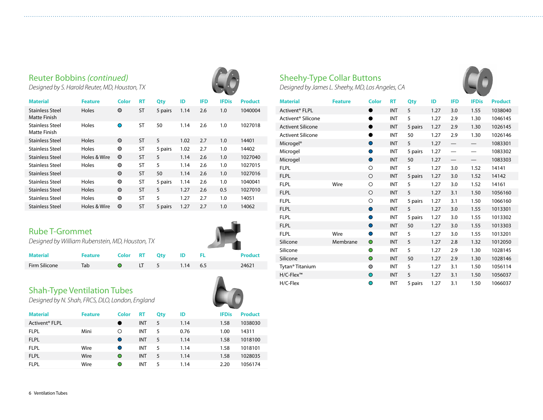#### Reuter Bobbins *(continued)*

*Designed by S. Harold Reuter, MD, Houston, TX*

| <b>Material</b>                        | <b>Feature</b> | Color      | RT        | Qty     | ID   | <b>IFD</b> | <b>IFDis</b> | <b>Product</b> |
|----------------------------------------|----------------|------------|-----------|---------|------|------------|--------------|----------------|
| <b>Stainless Steel</b><br>Matte Finish | Holes          | $\circ$    | <b>ST</b> | 5 pairs | 1.14 | 2.6        | 1.0          | 1040004        |
| <b>Stainless Steel</b><br>Matte Finish | Holes          | O          | ST        | 50      | 1.14 | 2.6        | 1.0          | 1027018        |
| <b>Stainless Steel</b>                 | Holes          | $\bigcirc$ | <b>ST</b> | 5       | 1.02 | 2.7        | 1.0          | 14401          |
| Stainless Steel                        | Holes          | $\circ$    | <b>ST</b> | 5 pairs | 1.02 | 2.7        | 1.0          | 14402          |
| <b>Stainless Steel</b>                 | Holes & Wire   | $\circ$    | <b>ST</b> | 5       | 1.14 | 2.6        | 1.0          | 1027040        |
| <b>Stainless Steel</b>                 | Holes          | $\bigcirc$ | <b>ST</b> | 5       | 1.14 | 2.6        | 1.0          | 1027015        |
| <b>Stainless Steel</b>                 |                | $\bigcirc$ | <b>ST</b> | 50      | 1.14 | 2.6        | 1.0          | 1027016        |
| <b>Stainless Steel</b>                 | Holes          | $\circ$    | ST        | 5 pairs | 1.14 | 2.6        | 1.0          | 1040041        |
| <b>Stainless Steel</b>                 | Holes          | $\bigcirc$ | <b>ST</b> | 5       | 1.27 | 2.6        | 0.5          | 1027010        |
| Stainless Steel                        | Holes          | $\bigcirc$ | ST        | 5       | 1.27 | 2.7        | 1.0          | 14051          |
| <b>Stainless Steel</b>                 | Holes & Wire   | $\bigcirc$ | <b>ST</b> | 5 pairs | 1.27 | 2.7        | 1.0          | 14062          |

#### Rube T-Grommet

*Designed by William Rubenstein, MD, Houston, TX*

| <b>Material</b> | Feature Color RT Oty ID FL |  |                        |  | <b>Product</b> |
|-----------------|----------------------------|--|------------------------|--|----------------|
| Firm Silicone   | Tab                        |  | <b>O</b> LT 5 1.14 6.5 |  | 24621          |

#### Shah-Type Ventilation Tubes

*Designed by N. Shah, FRCS, DLO, London, England*

| <b>Material</b>            | <b>Feature</b> | <b>Color</b> | <b>RT</b>  | Qty | ID   | <b>IFDis</b> | <b>Product</b> |
|----------------------------|----------------|--------------|------------|-----|------|--------------|----------------|
| Activent <sup>®</sup> FLPL |                |              | <b>INT</b> | 5   | 1.14 | 1.58         | 1038030        |
| <b>FLPL</b>                | Mini           | Ο            | INT        | 5   | 0.76 | 1.00         | 14311          |
| <b>FLPL</b>                |                |              | <b>INT</b> | 5   | 1.14 | 1.58         | 1018100        |
| <b>FLPL</b>                | Wire           |              | <b>INT</b> | 5   | 1.14 | 1.58         | 1018101        |
| <b>FLPL</b>                | Wire           | $\circ$      | <b>INT</b> | 5   | 1.14 | 1.58         | 1028035        |
| <b>FLPL</b>                | Wire           | $\bigcirc$   | INT        | 5   | 1.14 | 2.20         | 1056174        |
|                            |                |              |            |     |      |              |                |

#### Sheehy-Type Collar Buttons

*Designed by James L. Sheehy, MD, Los Angeles, CA*



| <b>Material</b>                | <b>Feature</b> | <b>Color</b> | <b>RT</b>  | Qty     | ID   | <b>IFD</b> | <b>IFDis</b> | <b>Product</b> |
|--------------------------------|----------------|--------------|------------|---------|------|------------|--------------|----------------|
| Activent <sup>®</sup> FLPL     |                | $\bullet$    | <b>INT</b> | 5       | 1.27 | 3.0        | 1.55         | 1038040        |
| Activent <sup>®</sup> Silicone |                | ●            | <b>INT</b> | 5       | 1.27 | 2.9        | 1.30         | 1046145        |
| <b>Activent Silicone</b>       |                | $\bullet$    | <b>INT</b> | 5 pairs | 1.27 | 2.9        | 1.30         | 1026145        |
| <b>Activent Silicone</b>       |                | ●            | <b>INT</b> | 50      | 1.27 | 2.9        | 1.30         | 1026146        |
| Microgel <sup>®</sup>          |                | $\bullet$    | <b>INT</b> | 5       | 1.27 |            |              | 1083301        |
| Microgel                       |                | $\bullet$    | <b>INT</b> | 5 pairs | 1.27 |            |              | 1083302        |
| Microgel                       |                | $\bullet$    | <b>INT</b> | 50      | 1.27 |            |              | 1083303        |
| <b>FLPL</b>                    |                | $\circ$      | <b>INT</b> | 5       | 1.27 | 3.0        | 1.52         | 14141          |
| <b>FLPL</b>                    |                | $\bigcirc$   | <b>INT</b> | 5 pairs | 1.27 | 3.0        | 1.52         | 14142          |
| <b>FLPL</b>                    | Wire           | $\circ$      | <b>INT</b> | 5       | 1.27 | 3.0        | 1.52         | 14161          |
| <b>FLPL</b>                    |                | $\circ$      | <b>INT</b> | 5       | 1.27 | 3.1        | 1.50         | 1056160        |
| <b>FLPL</b>                    |                | O            | <b>INT</b> | 5 pairs | 1.27 | 3.1        | 1.50         | 1066160        |
| <b>FLPL</b>                    |                | $\bullet$    | <b>INT</b> | 5       | 1.27 | 3.0        | 1.55         | 1013301        |
| <b>FLPL</b>                    |                | $\bullet$    | <b>INT</b> | 5 pairs | 1.27 | 3.0        | 1.55         | 1013302        |
| <b>FLPL</b>                    |                | $\bullet$    | <b>INT</b> | 50      | 1.27 | 3.0        | 1.55         | 1013303        |
| <b>FLPL</b>                    | Wire           | $\bullet$    | <b>INT</b> | 5       | 1.27 | 3.0        | 1.55         | 1013201        |
| Silicone                       | Membrane       | $\bullet$    | <b>INT</b> | 5       | 1.27 | 2.8        | 1.32         | 1012050        |
| Silicone                       |                | $\bullet$    | <b>INT</b> | 5       | 1.27 | 2.9        | 1.30         | 1028145        |
| Silicone                       |                | $\bullet$    | <b>INT</b> | 50      | 1.27 | 2.9        | 1.30         | 1028146        |
| Tytan® Titanium                |                | O            | <b>INT</b> | 5       | 1.27 | 3.1        | 1.50         | 1056114        |
| H/C-Flex™                      |                | $\circ$      | <b>INT</b> | 5       | 1.27 | 3.1        | 1.50         | 1056037        |
| H/C-Flex                       |                | $\bullet$    | <b>INT</b> | 5 pairs | 1.27 | 3.1        | 1.50         | 1066037        |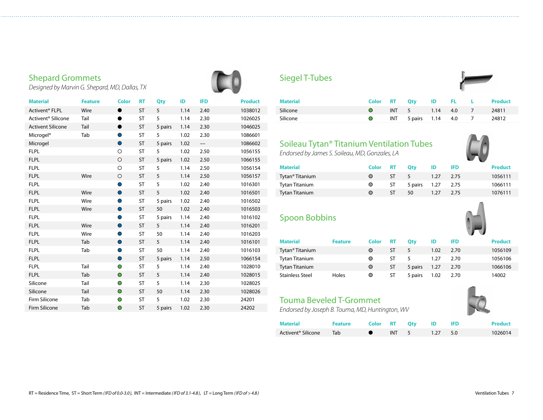#### Shepard Grommets

*Designed by Marvin G. Shepard, MD, Dallas, TX*

| <b>Material</b>                | <b>Feature</b> | <b>Color</b> | <b>RT</b> | <b>Qty</b> | ID   | <b>IFD</b> | <b>Product</b> |
|--------------------------------|----------------|--------------|-----------|------------|------|------------|----------------|
| Activent <sup>®</sup> FLPL     | Wire           | $\bullet$    | <b>ST</b> | 5          | 1.14 | 2.40       | 1038012        |
| Activent <sup>®</sup> Silicone | Tail           | D            | ST        | 5          | 1.14 | 2.30       | 1026025        |
| <b>Activent Silicone</b>       | Tail           | $\bullet$    | <b>ST</b> | 5 pairs    | 1.14 | 2.30       | 1046025        |
| Microgel <sup>®</sup>          | Tab            | $\bullet$    | <b>ST</b> | 5          | 1.02 | 2.30       | 1086601        |
| Microgel                       |                | $\bullet$    | ST        | 5 pairs    | 1.02 |            | 1086602        |
| <b>FLPL</b>                    |                | $\circ$      | ST        | 5          | 1.02 | 2.50       | 1056155        |
| <b>FLPL</b>                    |                | $\circ$      | ST        | 5 pairs    | 1.02 | 2.50       | 1066155        |
| <b>FLPL</b>                    |                | $\circ$      | <b>ST</b> | 5          | 1.14 | 2.50       | 1056154        |
| <b>FLPL</b>                    | Wire           | $\circ$      | <b>ST</b> | 5          | 1.14 | 2.50       | 1056157        |
| <b>FLPL</b>                    |                | $\bullet$    | <b>ST</b> | 5          | 1.02 | 2.40       | 1016301        |
| <b>FLPL</b>                    | Wire           | $\bullet$    | ST        | 5          | 1.02 | 2.40       | 1016501        |
| <b>FLPL</b>                    | Wire           | $\bullet$    | ST        | 5 pairs    | 1.02 | 2.40       | 1016502        |
| <b>FLPL</b>                    | Wire           | $\bullet$    | ST        | 50         | 1.02 | 2.40       | 1016503        |
| <b>FLPL</b>                    |                | Ο            | <b>ST</b> | 5 pairs    | 1.14 | 2.40       | 1016102        |
| <b>FLPL</b>                    | Wire           | $\bullet$    | <b>ST</b> | 5          | 1.14 | 2.40       | 1016201        |
| <b>FLPL</b>                    | Wire           | $\bullet$    | <b>ST</b> | 50         | 1.14 | 2.40       | 1016203        |
| <b>FLPL</b>                    | Tab            | $\bullet$    | <b>ST</b> | 5          | 1.14 | 2.40       | 1016101        |
| <b>FLPL</b>                    | Tab            | $\bullet$    | ST        | 50         | 1.14 | 2.40       | 1016103        |
| <b>FLPL</b>                    |                | $\bullet$    | <b>ST</b> | 5 pairs    | 1.14 | 2.50       | 1066154        |
| <b>FLPL</b>                    | Tail           | $\bullet$    | <b>ST</b> | 5          | 1.14 | 2.40       | 1028010        |
| <b>FLPL</b>                    | Tab            | $\circ$      | <b>ST</b> | 5          | 1.14 | 2.40       | 1028015        |
| Silicone                       | Tail           | $\circ$      | <b>ST</b> | 5          | 1.14 | 2.30       | 1028025        |
| Silicone                       | Tail           | $\bullet$    | <b>ST</b> | 50         | 1.14 | 2.30       | 1028026        |
| Firm Silicone                  | Tab            | $\bullet$    | ST        | 5          | 1.02 | 2.30       | 24201          |
| Firm Silicone                  | Tab            | $\bullet$    | <b>ST</b> | 5 pairs    | 1.02 | 2.30       | 24202          |



#### Siegel T-Tubes

| <b>Material</b> |           |                        |  | Color RT Qty ID FL L Product |
|-----------------|-----------|------------------------|--|------------------------------|
| Silicone        | $\bigcap$ | INT 5 1.14 4.0 7       |  | 24811                        |
| Silicone        |           | INT 5 pairs 1.14 4.0 7 |  | 24812                        |

### Soileau Tytan® Titanium Ventilation Tubes

*Endorsed by James S. Soileau, MD, Gonzales, LA*

| <b>Material</b>             | Color RT |          | <b>Otv</b>           | ID          | -IFD. | <b>Product</b> |
|-----------------------------|----------|----------|----------------------|-------------|-------|----------------|
| Tytan <sup>®</sup> Titanium |          | $ST = 5$ |                      | $1.27$ 2.75 |       | 1056111        |
| <b>Tytan Titanium</b>       | $\circ$  |          | ST 5 pairs 1.27 2.75 |             |       | 1066111        |
| <b>Tytan Titanium</b>       |          | ST.      | 50                   | $1.27$ 2.75 |       | 1076111        |

#### Spoon Bobbins

|                             |                |            |           |         |      |            | <b>The Secret Secret Secret Secret Secret Secret Secret Secret Secret Secret Secret Secret Secret Secret Secret Secret Secret Secret Secret Secret Secret Secret Secret Secret Secret Secret Secret Secret Secret Secret Secret </b> |                |
|-----------------------------|----------------|------------|-----------|---------|------|------------|--------------------------------------------------------------------------------------------------------------------------------------------------------------------------------------------------------------------------------------|----------------|
| <b>Material</b>             | <b>Feature</b> | Color      | RT        | Otv     | ID   | <b>IFD</b> |                                                                                                                                                                                                                                      | <b>Product</b> |
| Tytan <sup>®</sup> Titanium |                | O          | ST        | 5       | 1.02 | 2.70       |                                                                                                                                                                                                                                      | 1056109        |
| <b>Tytan Titanium</b>       |                | ◯          | ςт        | 5       | 1.27 | 2.70       |                                                                                                                                                                                                                                      | 1056106        |
| <b>Tytan Titanium</b>       |                | $\bigcirc$ | <b>ST</b> | 5 pairs | 1.27 | 2.70       |                                                                                                                                                                                                                                      | 1066106        |
| Stainless Steel             | Holes          | O          | ST        | 5 pairs | 1.02 | 2.70       |                                                                                                                                                                                                                                      | 14002          |

#### Touma Beveled T-Grommet

*Endorsed by Joseph B. Touma, MD, Huntington, WV*

| Material           | <b>Feature</b> |       | Color RT Otv ID IFD |          | <b>Product</b> |
|--------------------|----------------|-------|---------------------|----------|----------------|
| Activent® Silicone | Tab            | INT 5 |                     | 1.27 5.0 | 1026014        |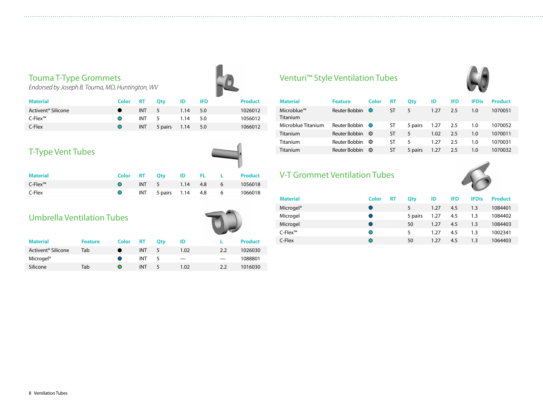#### Touma T-Type Grommets

*Endorsed by Joseph B. Touma, MD, Huntington, WV*

| <b>Material</b>                | Color RT   |            | <b>Otv</b>   | ID         | <b>IFD</b> | <b>Product</b> |
|--------------------------------|------------|------------|--------------|------------|------------|----------------|
| Activent <sup>®</sup> Silicone |            | INT 5      |              | $1.14$ 5.0 |            | 1026012        |
| C-Flex™                        | $\bigcirc$ |            | INT 5        | $1.14$ 5.0 |            | 1056012        |
| C-Flex                         | $\circ$    | <b>INT</b> | 5 pairs 1.14 |            | -5.0       | 1066012        |
|                                |            |            |              |            |            |                |

#### T-Type Vent Tubes

| . | ID | FL | Pro |
|---|----|----|-----|
|   |    |    |     |

| <b>Material</b>                     |  | Color RT Qty ID FL L Product |  |                                  |
|-------------------------------------|--|------------------------------|--|----------------------------------|
| $C$ -Flex <sup><math>m</math></sup> |  | O INT 5 1.14 4.8 6 1056018   |  |                                  |
| C-Flex                              |  |                              |  | O INT 5 pairs 1.14 4.8 6 1066018 |
|                                     |  |                              |  |                                  |

#### Umbrella Ventilation Tubes

|                                |                |                                                 |            |     |      | . . |                |
|--------------------------------|----------------|-------------------------------------------------|------------|-----|------|-----|----------------|
| <b>Material</b>                | <b>Feature</b> | Color                                           | RT         | Otv | ID   |     | <b>Product</b> |
| Activent <sup>®</sup> Silicone | Tab            |                                                 | <b>INT</b> | 5   | 1.02 | 2.2 | 1026030        |
| Microgel <sup>®</sup>          |                |                                                 | <b>INT</b> | 5   |      |     | 1088801        |
| Silicone                       | Tab            | $\left( \begin{array}{c} 1 \end{array} \right)$ | <b>INT</b> | 5   | 1.02 | 2.2 | 1016030        |

#### Venturi™ Style Ventilation Tubes



| <b>Material</b>        | <b>Feature</b> | Color      | RT        | Qty     | ID   | <b>IFD</b> | <b>IFDis</b> | <b>Product</b> |
|------------------------|----------------|------------|-----------|---------|------|------------|--------------|----------------|
| Microblue™<br>Titanium | Reuter Bobbin  | $\circ$    | ST        | 5       | 1.27 | 2.5        | 1.0          | 1070051        |
| Microblue Titanium     | Reuter Bobbin  | $\circ$    | ST        | 5 pairs | 1.27 | 2.5        | 1.0          | 1070052        |
| Titanium               | Reuter Bobbin  | $\circ$    | ST        | 5       | 1.02 | 2.5        | 1.0          | 1070011        |
| <b>Titanium</b>        | Reuter Bobbin  | $\bigcirc$ | ST        | 5       | 1.27 | 2.5        | 1.0          | 1070031        |
| Titanium               | Reuter Bobbin  | $\bigcirc$ | <b>ST</b> | 5 pairs | 1.27 | 2.5        | 1.0          | 1070032        |

#### V-T Grommet Ventilation Tubes



| <b>Material</b>                     | <b>Color</b> | RT | Qty     | ID   | <b>IFD</b> | <b>IFDis</b> | <b>Product</b> |
|-------------------------------------|--------------|----|---------|------|------------|--------------|----------------|
| Microgel <sup>®</sup>               | $\bullet$    |    |         | 1.27 | 4.5        | 1.3          | 1084401        |
| Microgel                            | $\bullet$    |    | 5 pairs | 1.27 | 4.5        | 1.3          | 1084402        |
| Microgel                            | $\bigcirc$   |    | 50      | 1.27 | 4.5        | 1.3          | 1084403        |
| $C$ -Flex <sup><math>m</math></sup> | $\bigcirc$   |    | 5       | 1.27 | 4.5        | 1.3          | 1002341        |
| C-Flex                              | ∩            |    | 50      | 1.27 | 4.5        | 1.3          | 1064403        |
|                                     |              |    |         |      |            |              |                |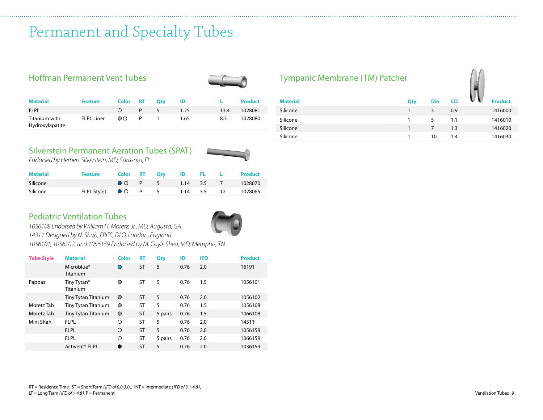## Permanent and Specialty Tubes

#### Hoffman Permanent Vent Tubes



| <b>Material</b>                  | <b>Feature</b>    | Color RT  |    | Otv  | ID   |      | Product |
|----------------------------------|-------------------|-----------|----|------|------|------|---------|
| <b>FLPL</b>                      |                   | $\bigcap$ | P. | $-5$ | 1.25 | 13.4 | 1028081 |
| Titanium with<br>Hydroxylapatite | <b>FLPL Liner</b> | ററ        | P. |      | 1.65 | 8.3  | 1028080 |

#### Silverstein Permanent Aeration Tubes (SPAT)



*Endorsed by Herbert Silverstein, MD, Sarasota, FL*

| <b>Material</b> | <b>Feature</b>                  | Color RT Otv |                         | <b>IDELL</b> | <b>Product</b> |
|-----------------|---------------------------------|--------------|-------------------------|--------------|----------------|
| Silicone        |                                 |              | <b>OOP</b> 5 1.14 3.5 7 |              | 1028070        |
| Silicone        | FLPL Stylet ● ○ P 5 1.14 3.5 12 |              |                         |              | 1028065        |

#### Pediatric Ventilation Tubes



*1056101, 1056102, and 1056159 Endorsed by M. Coyle Shea, MD, Memphis, TN* 

| <b>Material</b>                     | Color      | <b>RT</b> | Qty     | ID   | <b>IFD</b> | <b>Product</b> |
|-------------------------------------|------------|-----------|---------|------|------------|----------------|
| Microblue <sup>®</sup><br>Titanium  | O          | <b>ST</b> | 5       | 0.76 | 2.0        | 16191          |
| Tiny Tytan <sup>®</sup><br>Titanium | $\circ$    | <b>ST</b> | 5       | 0.76 | 1.5        | 1056101        |
| Tiny Tytan Titanium                 | $\bigcirc$ | <b>ST</b> | 5       | 0.76 | 2.0        | 1056102        |
| <b>Tiny Tytan Titanium</b>          | $\bigcirc$ | ST        | 5       | 0.76 | 1.5        | 1056108        |
| <b>Tiny Tytan Titanium</b>          | $\bigcirc$ | <b>ST</b> | 5 pairs | 0.76 | 1.5        | 1066108        |
| <b>FLPL</b>                         | ∩          | ST        | 5       | 0.76 | 2.0        | 14311          |
| <b>FLPL</b>                         | Ο          | <b>ST</b> | 5       | 0.76 | 2.0        | 1056159        |
| <b>FLPL</b>                         | O          | ST        | 5 pairs | 0.76 | 2.0        | 1066159        |
| Activent <sup>®</sup> FLPL          |            | ST        | 5       | 0.76 | 2.0        | 1036159        |
|                                     |            |           |         |      |            |                |

#### Tympanic Membrane (TM) Patcher



| <b>Material</b> | Qty | <b>Dia</b> | <b>CD</b> | <b>Product</b> |
|-----------------|-----|------------|-----------|----------------|
| Silicone        |     | 3          | 0.9       | 1416000        |
| Silicone        |     | 5          | 1.1       | 1416010        |
| Silicone        |     |            | 1.3       | 1416020        |
| Silicone        |     | 10         | 1.4       | 1416030        |